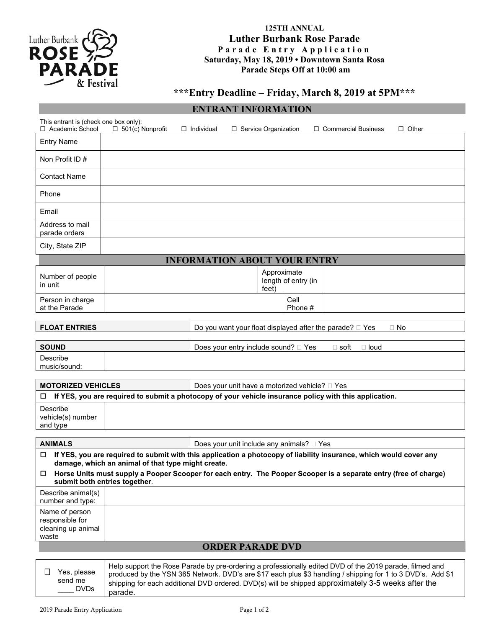

## **125TH ANNUAL Luther Burbank Rose Parade Parade Entry Application Saturday, May 18, 2019 • Downtown Santa Rosa Parade Steps Off at 10:00 am**

# **\*\*\*Entry Deadline – Friday, March 8, 2019 at 5PM\*\*\***

## **ENTRANT INFORMATION**

| This entrant is (check one box only):<br>□ Academic School                           | $\Box$ 501(c) Nonprofit                            | $\Box$ Individual | □ Service Organization                         | $\Box$ Commercial Business<br>$\Box$ Other                                                                         |
|--------------------------------------------------------------------------------------|----------------------------------------------------|-------------------|------------------------------------------------|--------------------------------------------------------------------------------------------------------------------|
| <b>Entry Name</b>                                                                    |                                                    |                   |                                                |                                                                                                                    |
| Non Profit ID #                                                                      |                                                    |                   |                                                |                                                                                                                    |
| <b>Contact Name</b>                                                                  |                                                    |                   |                                                |                                                                                                                    |
| Phone                                                                                |                                                    |                   |                                                |                                                                                                                    |
| Email                                                                                |                                                    |                   |                                                |                                                                                                                    |
| Address to mail<br>parade orders                                                     |                                                    |                   |                                                |                                                                                                                    |
| City, State ZIP                                                                      |                                                    |                   |                                                |                                                                                                                    |
|                                                                                      |                                                    |                   | <b>INFORMATION ABOUT YOUR ENTRY</b>            |                                                                                                                    |
| Number of people<br>in unit                                                          |                                                    |                   | Approximate<br>length of entry (in<br>feet)    |                                                                                                                    |
| Person in charge<br>at the Parade                                                    |                                                    |                   | Cell<br>Phone #                                |                                                                                                                    |
| <b>FLOAT ENTRIES</b>                                                                 |                                                    |                   |                                                | Do you want your float displayed after the parade? $\square$ Yes<br>$\Box$ No                                      |
|                                                                                      |                                                    |                   |                                                |                                                                                                                    |
| <b>SOUND</b>                                                                         |                                                    |                   |                                                | $\Box$ soft<br>$\Box$ loud                                                                                         |
| Describe<br>music/sound:                                                             |                                                    |                   | Does your entry include sound? $\Box$ Yes      |                                                                                                                    |
|                                                                                      |                                                    |                   |                                                |                                                                                                                    |
| <b>MOTORIZED VEHICLES</b>                                                            |                                                    |                   | Does your unit have a motorized vehicle? □ Yes |                                                                                                                    |
| □                                                                                    |                                                    |                   |                                                | If YES, you are required to submit a photocopy of your vehicle insurance policy with this application.             |
| Describe<br>vehicle(s) number                                                        |                                                    |                   |                                                |                                                                                                                    |
| and type                                                                             |                                                    |                   |                                                |                                                                                                                    |
| <b>ANIMALS</b>                                                                       |                                                    |                   | Does your unit include any animals? □ Yes      |                                                                                                                    |
| □                                                                                    |                                                    |                   |                                                | If YES, you are required to submit with this application a photocopy of liability insurance, which would cover any |
|                                                                                      | damage, which an animal of that type might create. |                   |                                                | □ Horse Units must supply a Pooper Scooper for each entry. The Pooper Scooper is a separate entry (free of charge) |
| Describe animal(s)                                                                   | submit both entries together.                      |                   |                                                |                                                                                                                    |
| number and type:<br>Name of person<br>responsible for<br>cleaning up animal<br>waste |                                                    |                   |                                                |                                                                                                                    |
|                                                                                      |                                                    |                   | <b>ORDER PARADE DVD</b>                        |                                                                                                                    |

|             | Help support the Rose Parade by pre-ordering a professionally edited DVD of the 2019 parade, filmed and     |
|-------------|-------------------------------------------------------------------------------------------------------------|
| Yes, please | produced by the YSN 365 Network. DVD's are \$17 each plus \$3 handling / shipping for 1 to 3 DVD's. Add \$1 |
| send me     | shipping for each additional DVD ordered. DVD(s) will be shipped approximately 3-5 weeks after the          |
| ____ DVDs   | parade.                                                                                                     |